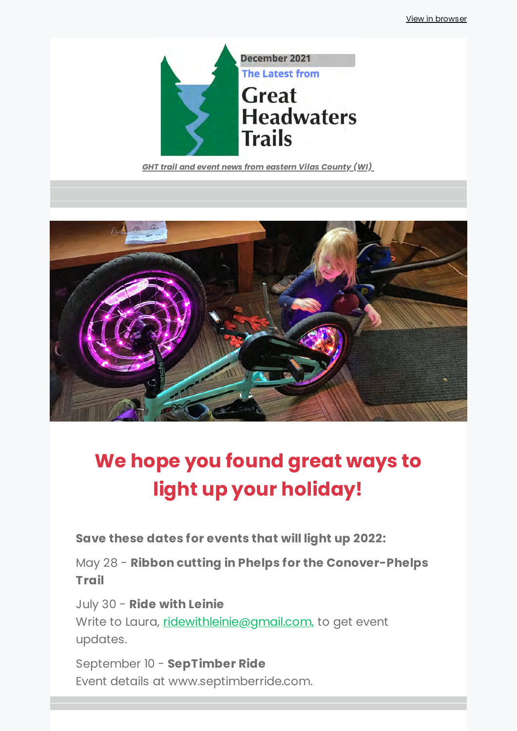

*GHT trail and event news from eastern Vilas County (WI)* 



# **We hope you found great ways to light up your holiday!**

**Save these dates for events that will light up 2022:**

May 28 - **Ribbon cutting in Phelps for the Conover-Phelps Trail**

July 30 - **Ride with Leinie** 

Write to Laura, [ridewithleinie@gmail.com,](mailto:ridewithleinie@gmail.com,) to get event updates.

September 10 - **SepTimber Ride** Event details at www.septimberride.com.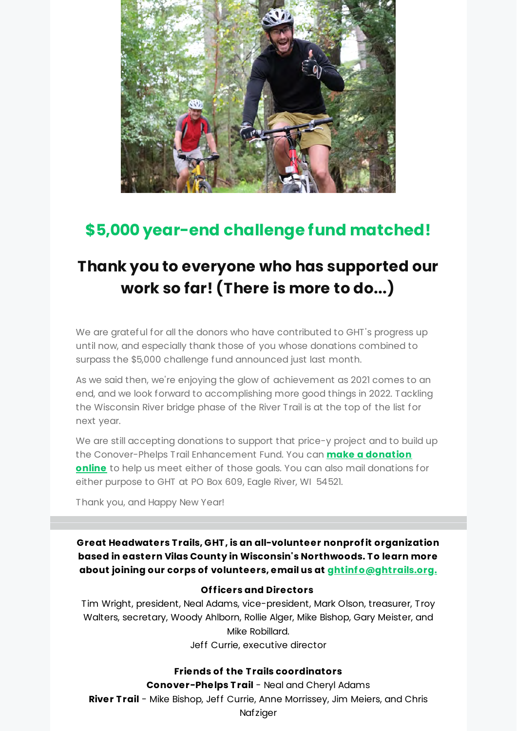

## **\$5,000 year-end challenge fund matched!**

## **Thank you to everyone who has supported our work so far! (There is more to do...)**

We are arateful for all the donors who have contributed to GHT's progress up until now, and especially thank those of you whose donations combined to surpass the \$5,000 challenge fund announced just last month.

As we said then, we're enjoying the glow of achievement as 2021 comes to an end, and we look forward to accomplishing more good things in 2022. Tackling the Wisconsin River bridge phase of the River Trail is at the top of the list for next year.

We are still accepting donations to support that price-y project and to build up the Conover-Phelps Trail Enhancement Fund. You can **make a donation online** [to help us meet either of those goals. You can also mail donations](https://greatheadwaterstrails.app.neoncrm.com/forms/2022---devised-in-lat-2021?utm_source=newsletter&utm_medium=email&utm_campaign=ght_news_challenge_fund_more_than_matched_big_things_planned_for_2022&utm_term=2021-12-27) for either purpose to GHT at PO Box 609, Eagle River, WI 54521.

Thank you, and Happy New Year!

**Great Headwaters T rails, GHT , is an all-volunteer nonprof it organization based in eastern Vilas County in Wisconsin's Northwoods. T o learn more about joining our corps of volunteers, email us at [ghtinf o@ghtrails.org.](mailto:ghtinfo@ghtrails.org.)**

#### **Of f icers and Directors**

Tim Wright, president, Neal Adams, vice-president, Mark Olson, treasurer, Troy Walters, secretary, Woody Ahlborn, Rollie Alger, Mike Bishop, Gary Meister, and Mike Robillard. Jeff Currie, executive director

**Friends of the T rails coordinators**

**Conover-Phelps T rail** - Neal and Cheryl Adams **River T rail** - Mike Bishop, Jeff Currie, Anne Morrissey, Jim Meiers, and Chris Nafziger